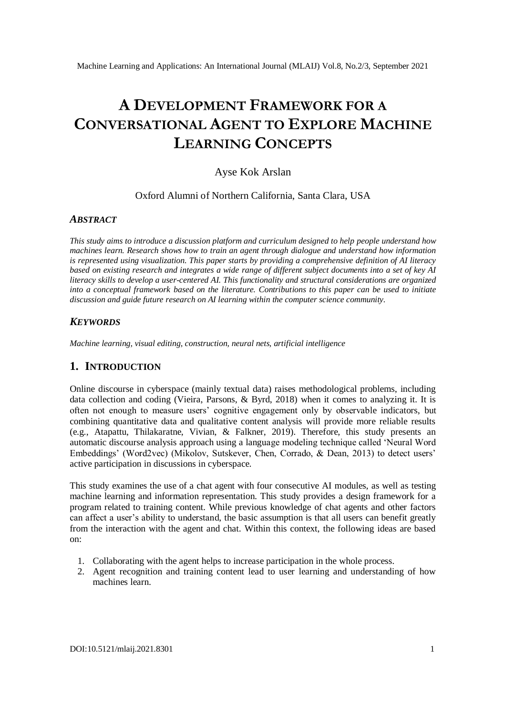# **A DEVELOPMENT FRAMEWORK FOR A CONVERSATIONAL AGENT TO EXPLORE MACHINE LEARNING CONCEPTS**

# Ayse Kok Arslan

## Oxford Alumni of Northern California, Santa Clara, USA

## *ABSTRACT*

*This study aims to introduce a discussion platform and curriculum designed to help people understand how machines learn. Research shows how to train an agent through dialogue and understand how information is represented using visualization. This paper starts by providing a comprehensive definition of AI literacy based on existing research and integrates a wide range of different subject documents into a set of key AI literacy skills to develop a user-centered AI. This functionality and structural considerations are organized into a conceptual framework based on the literature. Contributions to this paper can be used to initiate discussion and guide future research on AI learning within the computer science community.*

## *KEYWORDS*

*Machine learning, visual editing, construction, neural nets, artificial intelligence* 

## **1. INTRODUCTION**

Online discourse in cyberspace (mainly textual data) raises methodological problems, including data collection and coding (Vieira, Parsons, & Byrd, 2018) when it comes to analyzing it. It is often not enough to measure users' cognitive engagement only by observable indicators, but combining quantitative data and qualitative content analysis will provide more reliable results (e.g., Atapattu, Thilakaratne, Vivian, & Falkner, 2019). Therefore, this study presents an automatic discourse analysis approach using a language modeling technique called 'Neural Word Embeddings' (Word2vec) (Mikolov, Sutskever, Chen, Corrado, & Dean, 2013) to detect users' active participation in discussions in cyberspace.

This study examines the use of a chat agent with four consecutive AI modules, as well as testing machine learning and information representation. This study provides a design framework for a program related to training content. While previous knowledge of chat agents and other factors can affect a user's ability to understand, the basic assumption is that all users can benefit greatly from the interaction with the agent and chat. Within this context, the following ideas are based on:

- 1. Collaborating with the agent helps to increase participation in the whole process.
- 2. Agent recognition and training content lead to user learning and understanding of how machines learn.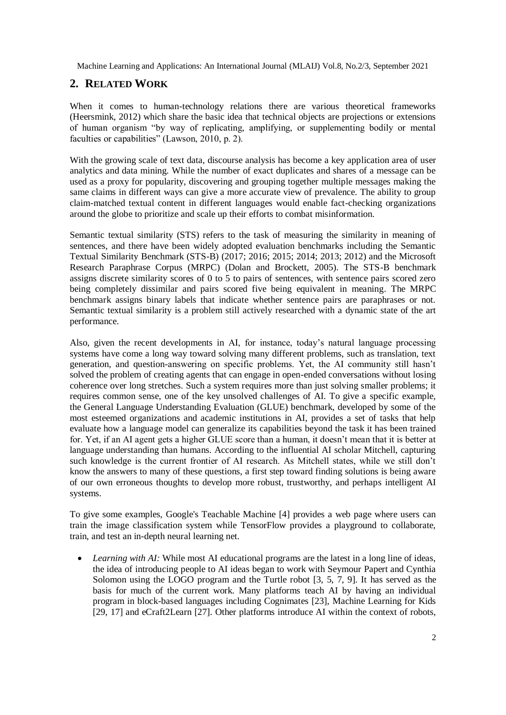# **2. RELATED WORK**

When it comes to human-technology relations there are various theoretical frameworks (Heersmink, 2012) which share the basic idea that technical objects are projections or extensions of human organism "by way of replicating, amplifying, or supplementing bodily or mental faculties or capabilities" (Lawson, 2010, p. 2).

With the growing scale of text data, discourse analysis has become a key application area of user analytics and data mining. While the number of exact duplicates and shares of a message can be used as a proxy for popularity, discovering and grouping together multiple messages making the same claims in different ways can give a more accurate view of prevalence. The ability to group claim-matched textual content in different languages would enable fact-checking organizations around the globe to prioritize and scale up their efforts to combat misinformation.

Semantic textual similarity (STS) refers to the task of measuring the similarity in meaning of sentences, and there have been widely adopted evaluation benchmarks including the Semantic Textual Similarity Benchmark (STS-B) (2017; 2016; 2015; 2014; 2013; 2012) and the Microsoft Research Paraphrase Corpus (MRPC) (Dolan and Brockett, 2005). The STS-B benchmark assigns discrete similarity scores of 0 to 5 to pairs of sentences, with sentence pairs scored zero being completely dissimilar and pairs scored five being equivalent in meaning. The MRPC benchmark assigns binary labels that indicate whether sentence pairs are paraphrases or not. Semantic textual similarity is a problem still actively researched with a dynamic state of the art performance.

Also, given the recent developments in AI, for instance, today's natural language processing systems have come a long way toward solving many different problems, such as translation, text generation, and question-answering on specific problems. Yet, the AI community still hasn't solved the problem of creating agents that can engage in open-ended conversations without losing coherence over long stretches. Such a system requires more than just solving smaller problems; it requires common sense, one of the key unsolved challenges of AI. To give a specific example, the General Language Understanding Evaluation (GLUE) benchmark, developed by some of the most esteemed organizations and academic institutions in AI, provides a set of tasks that help evaluate how a language model can generalize its capabilities beyond the task it has been trained for. Yet, if an AI agent gets a higher GLUE score than a human, it doesn't mean that it is better at language understanding than humans. According to the influential AI scholar Mitchell, capturing such knowledge is the current frontier of AI research. As Mitchell states, while we still don't know the answers to many of these questions, a first step toward finding solutions is being aware of our own erroneous thoughts to develop more robust, trustworthy, and perhaps intelligent AI systems.

To give some examples, Google's Teachable Machine [4] provides a web page where users can train the image classification system while TensorFlow provides a playground to collaborate, train, and test an in-depth neural learning net.

 *Learning with AI:* While most AI educational programs are the latest in a long line of ideas, the idea of introducing people to AI ideas began to work with Seymour Papert and Cynthia Solomon using the LOGO program and the Turtle robot [3, 5, 7, 9]. It has served as the basis for much of the current work. Many platforms teach AI by having an individual program in block-based languages including Cognimates [23], Machine Learning for Kids [29, 17] and eCraft2Learn [27]. Other platforms introduce AI within the context of robots,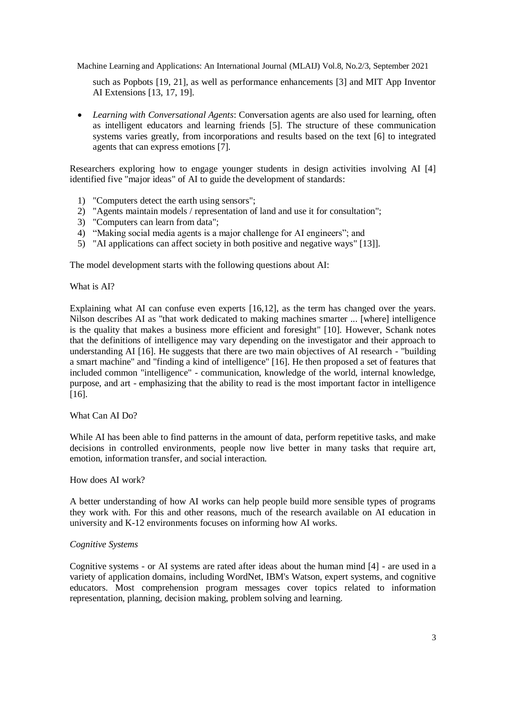such as Popbots [19, 21], as well as performance enhancements [3] and MIT App Inventor AI Extensions [13, 17, 19].

 *Learning with Conversational Agents*: Conversation agents are also used for learning, often as intelligent educators and learning friends [5]. The structure of these communication systems varies greatly, from incorporations and results based on the text [6] to integrated agents that can express emotions [7].

Researchers exploring how to engage younger students in design activities involving AI [4] identified five "major ideas" of AI to guide the development of standards:

- 1) "Computers detect the earth using sensors";
- 2) "Agents maintain models / representation of land and use it for consultation";
- 3) "Computers can learn from data";
- 4) "Making social media agents is a major challenge for AI engineers"; and
- 5) "AI applications can affect society in both positive and negative ways" [13]].

The model development starts with the following questions about AI:

#### What is AI?

Explaining what AI can confuse even experts [16,12], as the term has changed over the years. Nilson describes AI as "that work dedicated to making machines smarter ... [where] intelligence is the quality that makes a business more efficient and foresight" [10]. However, Schank notes that the definitions of intelligence may vary depending on the investigator and their approach to understanding AI [16]. He suggests that there are two main objectives of AI research - "building a smart machine" and "finding a kind of intelligence" [16]. He then proposed a set of features that included common "intelligence" - communication, knowledge of the world, internal knowledge, purpose, and art - emphasizing that the ability to read is the most important factor in intelligence [16].

What Can AI Do?

While AI has been able to find patterns in the amount of data, perform repetitive tasks, and make decisions in controlled environments, people now live better in many tasks that require art, emotion, information transfer, and social interaction.

#### How does AI work?

A better understanding of how AI works can help people build more sensible types of programs they work with. For this and other reasons, much of the research available on AI education in university and K-12 environments focuses on informing how AI works.

#### *Cognitive Systems*

Cognitive systems - or AI systems are rated after ideas about the human mind [4] - are used in a variety of application domains, including WordNet, IBM's Watson, expert systems, and cognitive educators. Most comprehension program messages cover topics related to information representation, planning, decision making, problem solving and learning.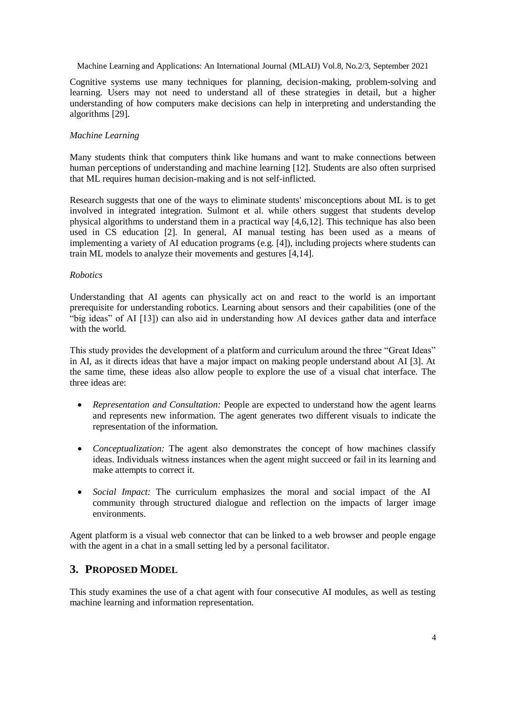Cognitive systems use many techniques for planning, decision-making, problem-solving and learning. Users may not need to understand all of these strategies in detail, but a higher understanding of how computers make decisions can help in interpreting and understanding the algorithms [29].

#### *Machine Learning*

Many students think that computers think like humans and want to make connections between human perceptions of understanding and machine learning [12]. Students are also often surprised that ML requires human decision-making and is not self-inflicted.

Research suggests that one of the ways to eliminate students' misconceptions about ML is to get involved in integrated integration. Sulmont et al. while others suggest that students develop physical algorithms to understand them in a practical way [4,6,12]. This technique has also been used in CS education [2]. In general, AI manual testing has been used as a means of implementing a variety of AI education programs (e.g. [4]), including projects where students can train ML models to analyze their movements and gestures [4,14].

#### *Robotics*

Understanding that AI agents can physically act on and react to the world is an important prerequisite for understanding robotics. Learning about sensors and their capabilities (one of the "big ideas" of AI [13]) can also aid in understanding how AI devices gather data and interface with the world.

This study provides the development of a platform and curriculum around the three "Great Ideas" in AI, as it directs ideas that have a major impact on making people understand about AI [3]. At the same time, these ideas also allow people to explore the use of a visual chat interface. The three ideas are:

- *Representation and Consultation:* People are expected to understand how the agent learns and represents new information. The agent generates two different visuals to indicate the representation of the information.
- *Conceptualization:* The agent also demonstrates the concept of how machines classify ideas. Individuals witness instances when the agent might succeed or fail in its learning and make attempts to correct it.
- *Social Impact:* The curriculum emphasizes the moral and social impact of the AI community through structured dialogue and reflection on the impacts of larger image environments.

Agent platform is a visual web connector that can be linked to a web browser and people engage with the agent in a chat in a small setting led by a personal facilitator.

# **3. PROPOSED MODEL**

This study examines the use of a chat agent with four consecutive AI modules, as well as testing machine learning and information representation.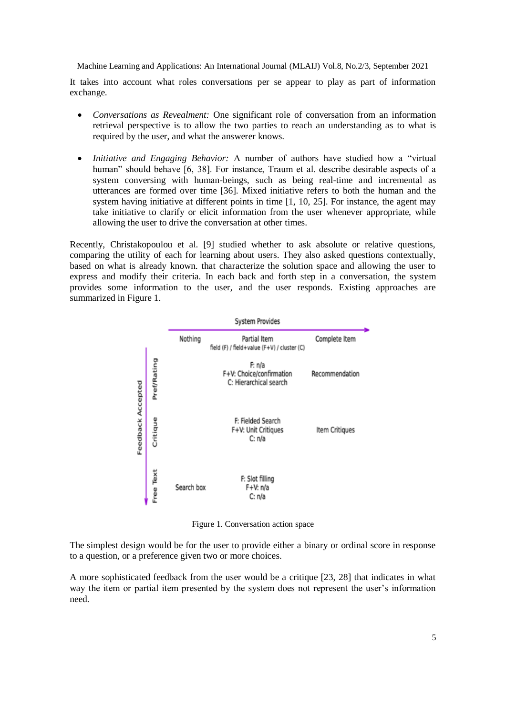It takes into account what roles conversations per se appear to play as part of information exchange.

- *Conversations as Revealment:* One significant role of conversation from an information retrieval perspective is to allow the two parties to reach an understanding as to what is required by the user, and what the answerer knows.
- *Initiative and Engaging Behavior:* A number of authors have studied how a "virtual human" should behave [6, 38]. For instance, Traum et al. describe desirable aspects of a system conversing with human-beings, such as being real-time and incremental as utterances are formed over time [36]. Mixed initiative refers to both the human and the system having initiative at different points in time [1, 10, 25]. For instance, the agent may take initiative to clarify or elicit information from the user whenever appropriate, while allowing the user to drive the conversation at other times.

Recently, Christakopoulou et al. [9] studied whether to ask absolute or relative questions, comparing the utility of each for learning about users. They also asked questions contextually, based on what is already known. that characterize the solution space and allowing the user to express and modify their criteria. In each back and forth step in a conversation, the system provides some information to the user, and the user responds. Existing approaches are summarized in Figure 1.



Figure 1. Conversation action space

The simplest design would be for the user to provide either a binary or ordinal score in response to a question, or a preference given two or more choices.

A more sophisticated feedback from the user would be a critique [23, 28] that indicates in what way the item or partial item presented by the system does not represent the user's information need.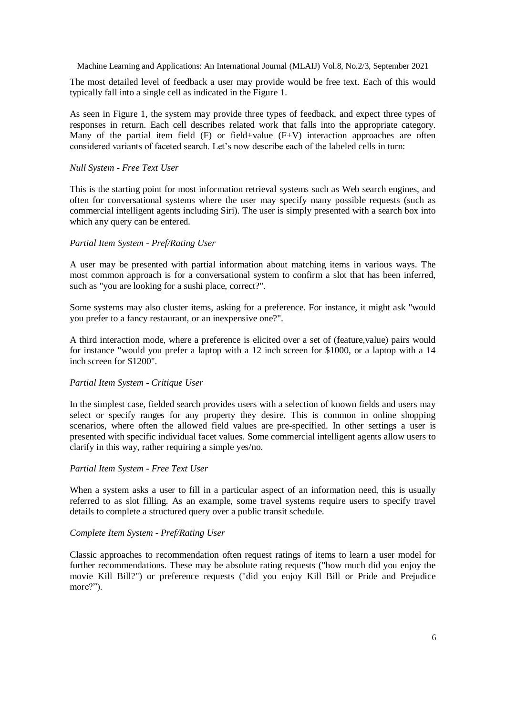The most detailed level of feedback a user may provide would be free text. Each of this would typically fall into a single cell as indicated in the Figure 1.

As seen in Figure 1, the system may provide three types of feedback, and expect three types of responses in return. Each cell describes related work that falls into the appropriate category. Many of the partial item field  $(F)$  or field+value  $(F+V)$  interaction approaches are often considered variants of faceted search. Let's now describe each of the labeled cells in turn:

#### *Null System - Free Text User*

This is the starting point for most information retrieval systems such as Web search engines, and often for conversational systems where the user may specify many possible requests (such as commercial intelligent agents including Siri). The user is simply presented with a search box into which any query can be entered.

#### *Partial Item System - Pref/Rating User*

A user may be presented with partial information about matching items in various ways. The most common approach is for a conversational system to confirm a slot that has been inferred, such as "you are looking for a sushi place, correct?".

Some systems may also cluster items, asking for a preference. For instance, it might ask "would you prefer to a fancy restaurant, or an inexpensive one?".

A third interaction mode, where a preference is elicited over a set of (feature,value) pairs would for instance "would you prefer a laptop with a 12 inch screen for \$1000, or a laptop with a 14 inch screen for \$1200".

#### *Partial Item System - Critique User*

In the simplest case, fielded search provides users with a selection of known fields and users may select or specify ranges for any property they desire. This is common in online shopping scenarios, where often the allowed field values are pre-specified. In other settings a user is presented with specific individual facet values. Some commercial intelligent agents allow users to clarify in this way, rather requiring a simple yes/no.

#### *Partial Item System - Free Text User*

When a system asks a user to fill in a particular aspect of an information need, this is usually referred to as slot filling. As an example, some travel systems require users to specify travel details to complete a structured query over a public transit schedule.

#### *Complete Item System - Pref/Rating User*

Classic approaches to recommendation often request ratings of items to learn a user model for further recommendations. These may be absolute rating requests ("how much did you enjoy the movie Kill Bill?") or preference requests ("did you enjoy Kill Bill or Pride and Prejudice more?").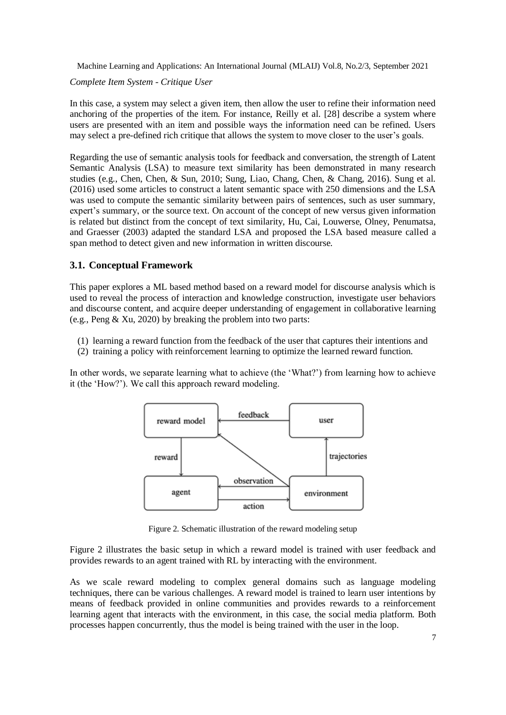*Complete Item System - Critique User* 

In this case, a system may select a given item, then allow the user to refine their information need anchoring of the properties of the item. For instance, Reilly et al. [28] describe a system where users are presented with an item and possible ways the information need can be refined. Users may select a pre-defined rich critique that allows the system to move closer to the user's goals.

Regarding the use of semantic analysis tools for feedback and conversation, the strength of Latent Semantic Analysis (LSA) to measure text similarity has been demonstrated in many research studies (e.g., Chen, Chen, & Sun, 2010; Sung, Liao, Chang, Chen, & Chang, 2016). Sung et al. (2016) used some articles to construct a latent semantic space with 250 dimensions and the LSA was used to compute the semantic similarity between pairs of sentences, such as user summary, expert's summary, or the source text. On account of the concept of new versus given information is related but distinct from the concept of text similarity, Hu, Cai, Louwerse, Olney, Penumatsa, and Graesser (2003) adapted the standard LSA and proposed the LSA based measure called a span method to detect given and new information in written discourse.

## **3.1. Conceptual Framework**

This paper explores a ML based method based on a reward model for discourse analysis which is used to reveal the process of interaction and knowledge construction, investigate user behaviors and discourse content, and acquire deeper understanding of engagement in collaborative learning (e.g., Peng & Xu, 2020) by breaking the problem into two parts:

- (1) learning a reward function from the feedback of the user that captures their intentions and
- (2) training a policy with reinforcement learning to optimize the learned reward function.

In other words, we separate learning what to achieve (the 'What?') from learning how to achieve it (the 'How?'). We call this approach reward modeling.



Figure 2. Schematic illustration of the reward modeling setup

Figure 2 illustrates the basic setup in which a reward model is trained with user feedback and provides rewards to an agent trained with RL by interacting with the environment.

As we scale reward modeling to complex general domains such as language modeling techniques, there can be various challenges. A reward model is trained to learn user intentions by means of feedback provided in online communities and provides rewards to a reinforcement learning agent that interacts with the environment, in this case, the social media platform. Both processes happen concurrently, thus the model is being trained with the user in the loop.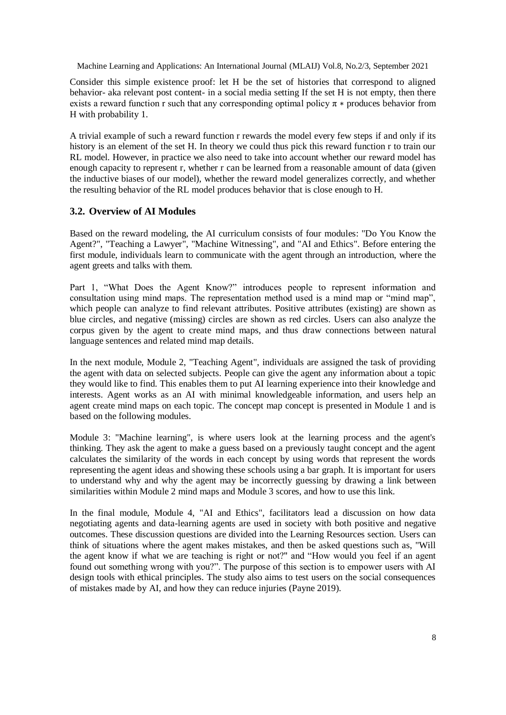Consider this simple existence proof: let H be the set of histories that correspond to aligned behavior- aka relevant post content- in a social media setting If the set H is not empty, then there exists a reward function r such that any corresponding optimal policy  $\pi *$  produces behavior from H with probability 1.

A trivial example of such a reward function r rewards the model every few steps if and only if its history is an element of the set H. In theory we could thus pick this reward function r to train our RL model. However, in practice we also need to take into account whether our reward model has enough capacity to represent r, whether r can be learned from a reasonable amount of data (given the inductive biases of our model), whether the reward model generalizes correctly, and whether the resulting behavior of the RL model produces behavior that is close enough to H.

## **3.2. Overview of AI Modules**

Based on the reward modeling, the AI curriculum consists of four modules: "Do You Know the Agent?", "Teaching a Lawyer", "Machine Witnessing", and "AI and Ethics". Before entering the first module, individuals learn to communicate with the agent through an introduction, where the agent greets and talks with them.

Part 1, "What Does the Agent Know?" introduces people to represent information and consultation using mind maps. The representation method used is a mind map or "mind map", which people can analyze to find relevant attributes. Positive attributes (existing) are shown as blue circles, and negative (missing) circles are shown as red circles. Users can also analyze the corpus given by the agent to create mind maps, and thus draw connections between natural language sentences and related mind map details.

In the next module, Module 2, "Teaching Agent", individuals are assigned the task of providing the agent with data on selected subjects. People can give the agent any information about a topic they would like to find. This enables them to put AI learning experience into their knowledge and interests. Agent works as an AI with minimal knowledgeable information, and users help an agent create mind maps on each topic. The concept map concept is presented in Module 1 and is based on the following modules.

Module 3: "Machine learning", is where users look at the learning process and the agent's thinking. They ask the agent to make a guess based on a previously taught concept and the agent calculates the similarity of the words in each concept by using words that represent the words representing the agent ideas and showing these schools using a bar graph. It is important for users to understand why and why the agent may be incorrectly guessing by drawing a link between similarities within Module 2 mind maps and Module 3 scores, and how to use this link.

In the final module, Module 4, "AI and Ethics", facilitators lead a discussion on how data negotiating agents and data-learning agents are used in society with both positive and negative outcomes. These discussion questions are divided into the Learning Resources section. Users can think of situations where the agent makes mistakes, and then be asked questions such as, "Will the agent know if what we are teaching is right or not?" and "How would you feel if an agent found out something wrong with you?". The purpose of this section is to empower users with AI design tools with ethical principles. The study also aims to test users on the social consequences of mistakes made by AI, and how they can reduce injuries (Payne 2019).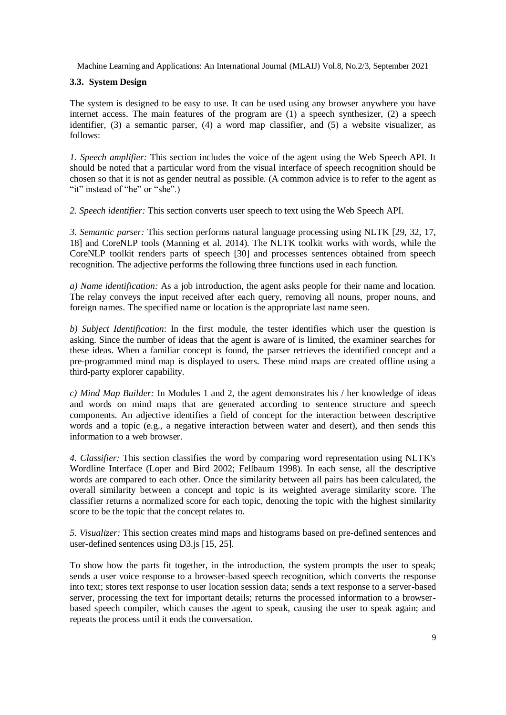## **3.3. System Design**

The system is designed to be easy to use. It can be used using any browser anywhere you have internet access. The main features of the program are (1) a speech synthesizer, (2) a speech identifier, (3) a semantic parser, (4) a word map classifier, and (5) a website visualizer, as follows:

*1. Speech amplifier:* This section includes the voice of the agent using the Web Speech API. It should be noted that a particular word from the visual interface of speech recognition should be chosen so that it is not as gender neutral as possible. (A common advice is to refer to the agent as "it" instead of "he" or "she".)

*2. Speech identifier:* This section converts user speech to text using the Web Speech API.

*3. Semantic parser:* This section performs natural language processing using NLTK [29, 32, 17, 18] and CoreNLP tools (Manning et al. 2014). The NLTK toolkit works with words, while the CoreNLP toolkit renders parts of speech [30] and processes sentences obtained from speech recognition. The adjective performs the following three functions used in each function.

*a) Name identification:* As a job introduction, the agent asks people for their name and location. The relay conveys the input received after each query, removing all nouns, proper nouns, and foreign names. The specified name or location is the appropriate last name seen.

*b) Subject Identification*: In the first module, the tester identifies which user the question is asking. Since the number of ideas that the agent is aware of is limited, the examiner searches for these ideas. When a familiar concept is found, the parser retrieves the identified concept and a pre-programmed mind map is displayed to users. These mind maps are created offline using a third-party explorer capability.

*c) Mind Map Builder:* In Modules 1 and 2, the agent demonstrates his / her knowledge of ideas and words on mind maps that are generated according to sentence structure and speech components. An adjective identifies a field of concept for the interaction between descriptive words and a topic (e.g., a negative interaction between water and desert), and then sends this information to a web browser.

*4. Classifier:* This section classifies the word by comparing word representation using NLTK's Wordline Interface (Loper and Bird 2002; Fellbaum 1998). In each sense, all the descriptive words are compared to each other. Once the similarity between all pairs has been calculated, the overall similarity between a concept and topic is its weighted average similarity score. The classifier returns a normalized score for each topic, denoting the topic with the highest similarity score to be the topic that the concept relates to.

*5. Visualizer:* This section creates mind maps and histograms based on pre-defined sentences and user-defined sentences using D3.js [15, 25].

To show how the parts fit together, in the introduction, the system prompts the user to speak; sends a user voice response to a browser-based speech recognition, which converts the response into text; stores text response to user location session data; sends a text response to a server-based server, processing the text for important details; returns the processed information to a browserbased speech compiler, which causes the agent to speak, causing the user to speak again; and repeats the process until it ends the conversation.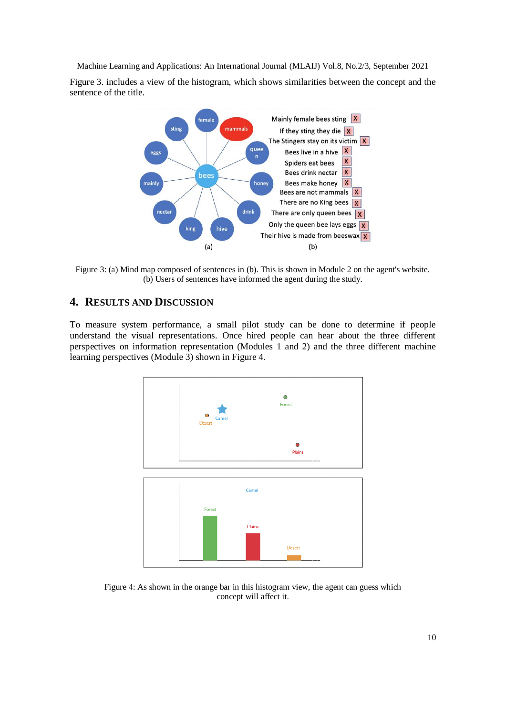Figure 3. includes a view of the histogram, which shows similarities between the concept and the sentence of the title.



Figure 3: (a) Mind map composed of sentences in (b). This is shown in Module 2 on the agent's website. (b) Users of sentences have informed the agent during the study.

# **4. RESULTS AND DISCUSSION**

To measure system performance, a small pilot study can be done to determine if people understand the visual representations. Once hired people can hear about the three different perspectives on information representation (Modules 1 and 2) and the three different machine learning perspectives (Module 3) shown in Figure 4.



Figure 4: As shown in the orange bar in this histogram view, the agent can guess which concept will affect it.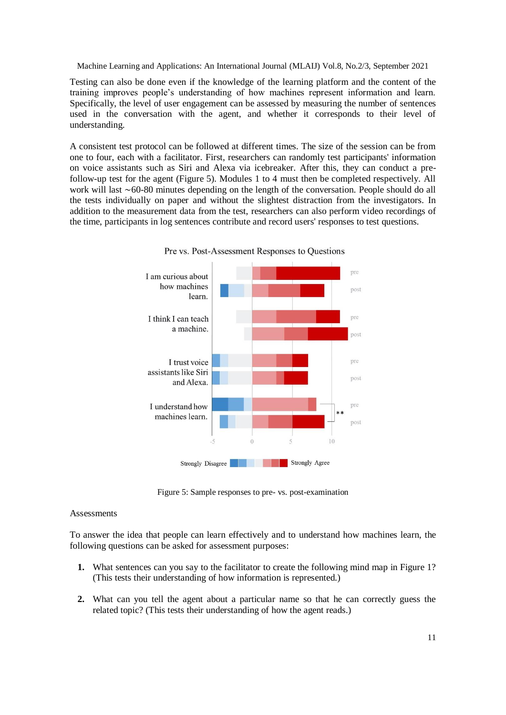Testing can also be done even if the knowledge of the learning platform and the content of the training improves people's understanding of how machines represent information and learn. Specifically, the level of user engagement can be assessed by measuring the number of sentences used in the conversation with the agent, and whether it corresponds to their level of understanding.

A consistent test protocol can be followed at different times. The size of the session can be from one to four, each with a facilitator. First, researchers can randomly test participants' information on voice assistants such as Siri and Alexa via icebreaker. After this, they can conduct a prefollow-up test for the agent (Figure 5). Modules 1 to 4 must then be completed respectively. All work will last ∼60-80 minutes depending on the length of the conversation. People should do all the tests individually on paper and without the slightest distraction from the investigators. In addition to the measurement data from the test, researchers can also perform video recordings of the time, participants in log sentences contribute and record users' responses to test questions.



Pre vs. Post-Assessment Responses to Questions

Figure 5: Sample responses to pre- vs. post-examination

#### **Assessments**

To answer the idea that people can learn effectively and to understand how machines learn, the following questions can be asked for assessment purposes:

- **1.** What sentences can you say to the facilitator to create the following mind map in Figure 1? (This tests their understanding of how information is represented.)
- **2.** What can you tell the agent about a particular name so that he can correctly guess the related topic? (This tests their understanding of how the agent reads.)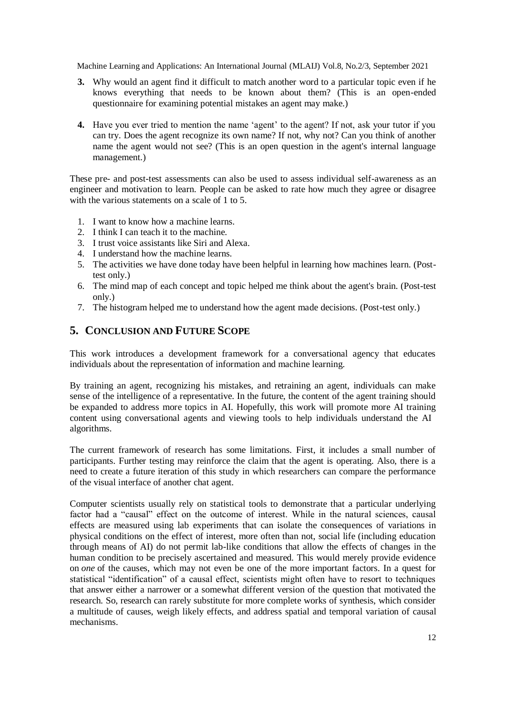- **3.** Why would an agent find it difficult to match another word to a particular topic even if he knows everything that needs to be known about them? (This is an open-ended questionnaire for examining potential mistakes an agent may make.)
- **4.** Have you ever tried to mention the name 'agent' to the agent? If not, ask your tutor if you can try. Does the agent recognize its own name? If not, why not? Can you think of another name the agent would not see? (This is an open question in the agent's internal language management.)

These pre- and post-test assessments can also be used to assess individual self-awareness as an engineer and motivation to learn. People can be asked to rate how much they agree or disagree with the various statements on a scale of 1 to 5.

- 1. I want to know how a machine learns.
- 2. I think I can teach it to the machine.
- 3. I trust voice assistants like Siri and Alexa.
- 4. I understand how the machine learns.
- 5. The activities we have done today have been helpful in learning how machines learn. (Posttest only.)
- 6. The mind map of each concept and topic helped me think about the agent's brain. (Post-test only.)
- 7. The histogram helped me to understand how the agent made decisions. (Post-test only.)

# **5. CONCLUSION AND FUTURE SCOPE**

This work introduces a development framework for a conversational agency that educates individuals about the representation of information and machine learning.

By training an agent, recognizing his mistakes, and retraining an agent, individuals can make sense of the intelligence of a representative. In the future, the content of the agent training should be expanded to address more topics in AI. Hopefully, this work will promote more AI training content using conversational agents and viewing tools to help individuals understand the AI algorithms.

The current framework of research has some limitations. First, it includes a small number of participants. Further testing may reinforce the claim that the agent is operating. Also, there is a need to create a future iteration of this study in which researchers can compare the performance of the visual interface of another chat agent.

Computer scientists usually rely on statistical tools to demonstrate that a particular underlying factor had a "causal" effect on the outcome of interest. While in the natural sciences, causal effects are measured using lab experiments that can isolate the consequences of variations in physical conditions on the effect of interest, more often than not, social life (including education through means of AI) do not permit lab-like conditions that allow the effects of changes in the human condition to be precisely ascertained and measured. This would merely provide evidence on *one* of the causes, which may not even be one of the more important factors. In a quest for statistical "identification" of a causal effect, scientists might often have to resort to techniques that answer either a narrower or a somewhat different version of the question that motivated the research. So, research can rarely substitute for more complete works of synthesis, which consider a multitude of causes, weigh likely effects, and address spatial and temporal variation of causal mechanisms.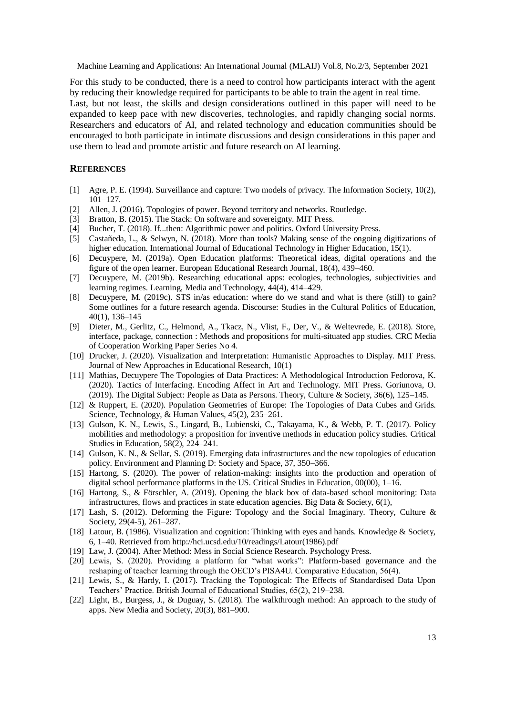For this study to be conducted, there is a need to control how participants interact with the agent by reducing their knowledge required for participants to be able to train the agent in real time. Last, but not least, the skills and design considerations outlined in this paper will need to be expanded to keep pace with new discoveries, technologies, and rapidly changing social norms. Researchers and educators of AI, and related technology and education communities should be encouraged to both participate in intimate discussions and design considerations in this paper and use them to lead and promote artistic and future research on AI learning.

#### **REFERENCES**

- [1] Agre, P. E. (1994). Surveillance and capture: Two models of privacy. The Information Society, 10(2), 101–127.
- [2] Allen, J. (2016). Topologies of power. Beyond territory and networks. Routledge.
- [3] Bratton, B. (2015). The Stack: On software and sovereignty. MIT Press.
- [4] Bucher, T. (2018). If...then: Algorithmic power and politics. Oxford University Press.
- [5] Castañeda, L., & Selwyn, N. (2018). More than tools? Making sense of the ongoing digitizations of higher education. International Journal of Educational Technology in Higher Education, 15(1).
- [6] Decuypere, M. (2019a). Open Education platforms: Theoretical ideas, digital operations and the figure of the open learner. European Educational Research Journal, 18(4), 439–460.
- [7] Decuypere, M. (2019b). Researching educational apps: ecologies, technologies, subjectivities and learning regimes. Learning, Media and Technology, 44(4), 414–429.
- [8] Decuypere, M. (2019c). STS in/as education: where do we stand and what is there (still) to gain? Some outlines for a future research agenda. Discourse: Studies in the Cultural Politics of Education, 40(1), 136–145
- [9] Dieter, M., Gerlitz, C., Helmond, A., Tkacz, N., Vlist, F., Der, V., & Weltevrede, E. (2018). Store, interface, package, connection : Methods and propositions for multi-situated app studies. CRC Media of Cooperation Working Paper Series No 4.
- [10] Drucker, J. (2020). Visualization and Interpretation: Humanistic Approaches to Display. MIT Press. Journal of New Approaches in Educational Research, 10(1)
- [11] Mathias, Decuypere The Topologies of Data Practices: A Methodological Introduction Fedorova, K. (2020). Tactics of Interfacing. Encoding Affect in Art and Technology. MIT Press. Goriunova, O. (2019). The Digital Subject: People as Data as Persons. Theory, Culture & Society, 36(6), 125–145.
- [12] & Ruppert, E. (2020). Population Geometries of Europe: The Topologies of Data Cubes and Grids. Science, Technology, & Human Values, 45(2), 235–261.
- [13] Gulson, K. N., Lewis, S., Lingard, B., Lubienski, C., Takayama, K., & Webb, P. T. (2017). Policy mobilities and methodology: a proposition for inventive methods in education policy studies. Critical Studies in Education, 58(2), 224–241.
- [14] Gulson, K. N., & Sellar, S. (2019). Emerging data infrastructures and the new topologies of education policy. Environment and Planning D: Society and Space, 37, 350–366.
- [15] Hartong, S. (2020). The power of relation-making: insights into the production and operation of digital school performance platforms in the US. Critical Studies in Education, 00(00), 1–16.
- [16] Hartong, S., & Förschler, A. (2019). Opening the black box of data-based school monitoring: Data infrastructures, flows and practices in state education agencies. Big Data & Society,  $6(1)$ ,
- [17] Lash, S. (2012). Deforming the Figure: Topology and the Social Imaginary. Theory, Culture & Society, 29(4-5), 261–287.
- [18] Latour, B. (1986). Visualization and cognition: Thinking with eyes and hands. Knowledge & Society, 6, 1–40. Retrieved from http://hci.ucsd.edu/10/readings/Latour(1986).pdf
- [19] Law, J. (2004). After Method: Mess in Social Science Research. Psychology Press.
- [20] Lewis, S. (2020). Providing a platform for "what works": Platform-based governance and the reshaping of teacher learning through the OECD's PISA4U. Comparative Education, 56(4).
- [21] Lewis, S., & Hardy, I. (2017). Tracking the Topological: The Effects of Standardised Data Upon Teachers' Practice. British Journal of Educational Studies, 65(2), 219–238.
- [22] Light, B., Burgess, J., & Duguay, S. (2018). The walkthrough method: An approach to the study of apps. New Media and Society, 20(3), 881–900.